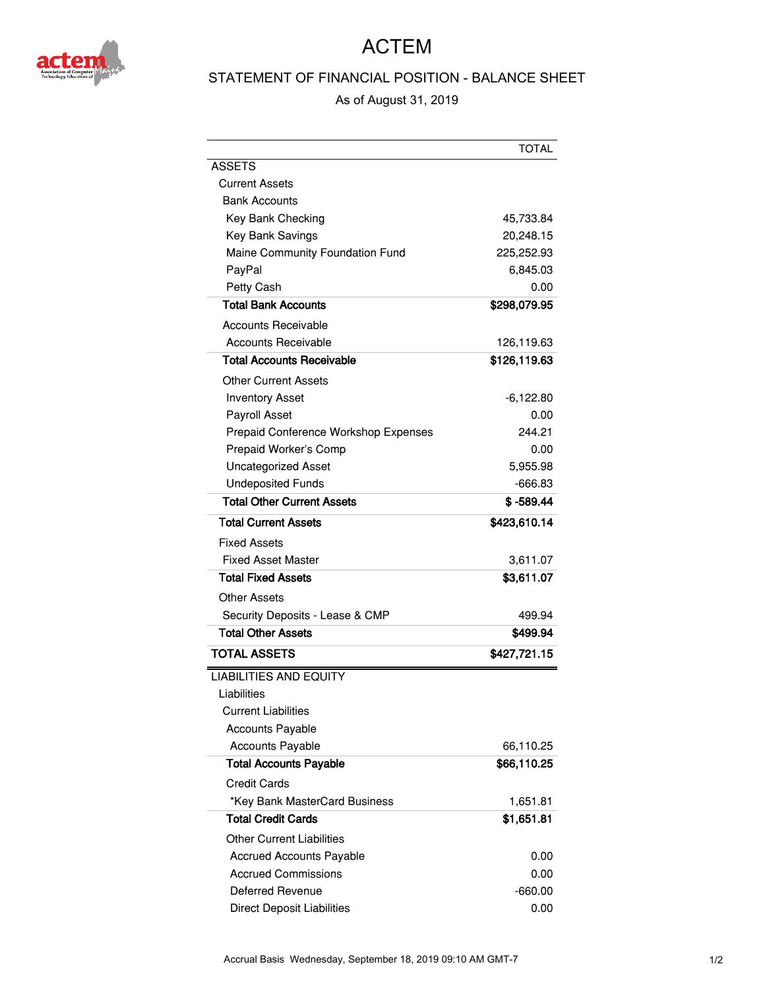

## ACTEM

## STATEMENT OF FINANCIAL POSITION - BALANCE SHEET

As of August 31, 2019

|                                      | TOTAL        |
|--------------------------------------|--------------|
| <b>ASSETS</b>                        |              |
| Current Assets                       |              |
| <b>Bank Accounts</b>                 |              |
| Key Bank Checking                    | 45,733.84    |
| <b>Key Bank Savings</b>              | 20,248.15    |
| Maine Community Foundation Fund      | 225,252.93   |
| PayPal                               | 6.845.03     |
| Petty Cash                           | 0.00         |
| <b>Total Bank Accounts</b>           | \$298,079.95 |
| Accounts Receivable                  |              |
| <b>Accounts Receivable</b>           | 126,119.63   |
| Total Accounts Receivable            | \$126,119.63 |
| Other Current Assets                 |              |
| <b>Inventory Asset</b>               | $-6,122.80$  |
| Payroll Asset                        | 0.00         |
| Prepaid Conference Workshop Expenses | 244.21       |
| Prepaid Worker's Comp                | 0.00         |
| <b>Uncategorized Asset</b>           | 5,955.98     |
| <b>Undeposited Funds</b>             | -666.83      |
| <b>Total Other Current Assets</b>    | $$ -589.44$  |
| <b>Total Current Assets</b>          | \$423,610.14 |
| Fixed Assets                         |              |
| <b>Fixed Asset Master</b>            | 3,611.07     |
| <b>Total Fixed Assets</b>            | \$3,611.07   |
| Other Assets                         |              |
| Security Deposits - Lease & CMP      | 499.94       |
| <b>Total Other Assets</b>            | \$499.94     |
| <b>TOTAL ASSETS</b>                  | \$427,721.15 |
| <b>LIABILITIES AND EQUITY</b>        |              |
| Liabilities                          |              |
| <b>Current Liabilities</b>           |              |
| <b>Accounts Payable</b>              |              |
| <b>Accounts Payable</b>              | 66,110.25    |
| <b>Total Accounts Payable</b>        | \$66,110.25  |
| <b>Credit Cards</b>                  |              |
| *Key Bank MasterCard Business        | 1,651.81     |
| <b>Total Credit Cards</b>            | \$1,651.81   |
| <b>Other Current Liabilities</b>     |              |
| <b>Accrued Accounts Payable</b>      | 0.00         |
| <b>Accrued Commissions</b>           | 0.00         |
| Deferred Revenue                     | $-660.00$    |
| <b>Direct Deposit Liabilities</b>    | 0.00         |